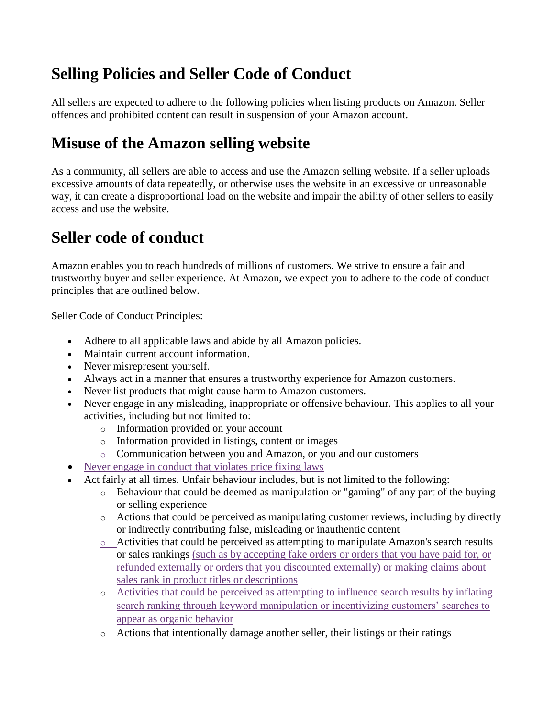## **Selling Policies and Seller Code of Conduct**

All sellers are expected to adhere to the following policies when listing products on Amazon. Seller offences and prohibited content can result in suspension of your Amazon account.

## **Misuse of the Amazon selling website**

As a community, all sellers are able to access and use the Amazon selling website. If a seller uploads excessive amounts of data repeatedly, or otherwise uses the website in an excessive or unreasonable way, it can create a disproportional load on the website and impair the ability of other sellers to easily access and use the website.

## **Seller code of conduct**

Amazon enables you to reach hundreds of millions of customers. We strive to ensure a fair and trustworthy buyer and seller experience. At Amazon, we expect you to adhere to the code of conduct principles that are outlined below.

Seller Code of Conduct Principles:

- Adhere to all applicable laws and abide by all Amazon policies.
- Maintain current account information.
- Never misrepresent yourself.
- Always act in a manner that ensures a trustworthy experience for Amazon customers.
- Never list products that might cause harm to Amazon customers.
- Never engage in any misleading, inappropriate or offensive behaviour. This applies to all your activities, including but not limited to:
	- o Information provided on your account
	- o Information provided in listings, content or images
	- o Communication between you and Amazon, or you and our customers
- Never engage in conduct that violates price fixing laws
- Act fairly at all times. Unfair behaviour includes, but is not limited to the following:
	- o Behaviour that could be deemed as manipulation or "gaming" of any part of the buying or selling experience
	- o Actions that could be perceived as manipulating customer reviews, including by directly or indirectly contributing false, misleading or inauthentic content
	- o Activities that could be perceived as attempting to manipulate Amazon's search results or sales rankings (such as by accepting fake orders or orders that you have paid for, or refunded externally or orders that you discounted externally) or making claims about sales rank in product titles or descriptions
	- o Activities that could be perceived as attempting to influence search results by inflating search ranking through keyword manipulation or incentivizing customers' searches to appear as organic behavior
	- o Actions that intentionally damage another seller, their listings or their ratings